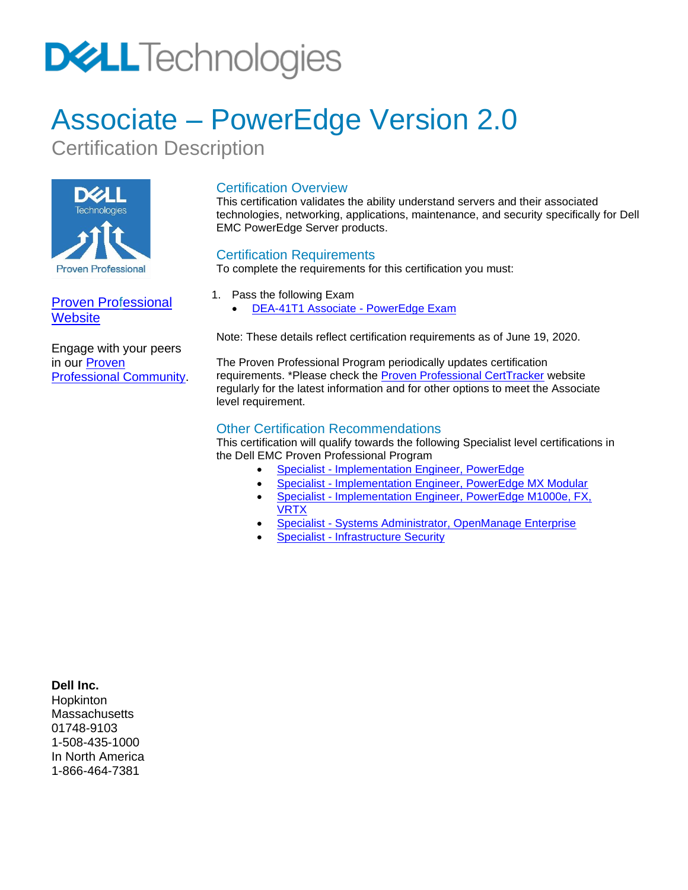# **DELL**Technologies

# Associate – PowerEdge Version 2.0

Certification Description



[Proven Professional](https://education.emc.com/guest/certification/default.aspx)  **[Website](https://education.emc.com/guest/certification/default.aspx)** 

Engage with your peers in our [Proven](https://www.dell.com/community/Proven-Professional/bd-p/ProvenProfessional_CertificationBoard)  [Professional Community.](https://www.dell.com/community/Proven-Professional/bd-p/ProvenProfessional_CertificationBoard)

### Certification Overview

This certification validates the ability understand servers and their associated technologies, networking, applications, maintenance, and security specifically for Dell EMC PowerEdge Server products.

### Certification Requirements

To complete the requirements for this certification you must:

- 1. Pass the following Exam
	- DEA-41T1 Associate [PowerEdge](#page-1-0) Exam

Note: These details reflect certification requirements as of June 19, 2020.

The Proven Professional Program periodically updates certification requirements. \*Please check the **Proven Professional CertTracker** website regularly for the latest information and for other options to meet the Associate level requirement.

#### Other Certification Recommendations

This certification will qualify towards the following Specialist level certifications in the Dell EMC Proven Professional Program

- Specialist [Implementation Engineer, PowerEdge](https://education.dellemc.com/content/dam/dell-emc/documents/en-us/DES-4122_Specialist-Implementation_Engineer_PowerEdge_Exam.pdf)
- Specialist [Implementation Engineer, PowerEdge MX Modular](https://education.dellemc.com/content/dam/dell-emc/documents/en-us/DES-4421_Specialist-Implementation_Engineer_PowerEdge_MX_Modular_Exam.pdf)
- Specialist Implementation Engineer, PowerEdge M1000e, FX, [VRTX](https://education.dellemc.com/content/dam/dell-emc/documents/en-us/DES-4221_Specialist-Implementation_Engineer_PowerEdge_M1000e_FX_VRTX_Exam.pdf)
- Specialist [Systems Administrator, OpenManage Enterprise](https://education.dellemc.com/content/dam/dell-emc/documents/en-us/DES-4331_Specialist-Systems_Administrator_OpenManage_Enterprise_Exam.pdf)
- Specialist [Infrastructure Security](https://education.dellemc.com/content/dam/dell-emc/documents/en-us/DES-9131_Specialist-Infrastructure_Security_Exam.pdf)

#### **Dell Inc.**

Hopkinton **Massachusetts** 01748-9103 1-508-435-1000 In North America 1-866-464-7381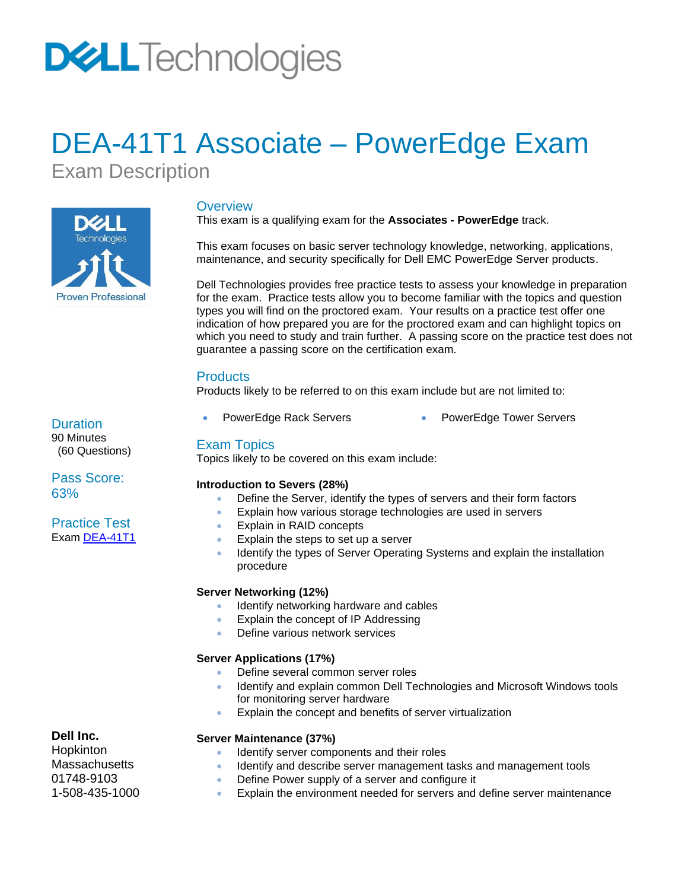# **DELL**Technologies

## <span id="page-1-0"></span>DEA-41T1 Associate – PowerEdge Exam

Exam Description



#### **Overview**

This exam is a qualifying exam for the **Associates - PowerEdge** track.

This exam focuses on basic server technology knowledge, networking, applications, maintenance, and security specifically for Dell EMC PowerEdge Server products.

Dell Technologies provides free practice tests to assess your knowledge in preparation for the exam. Practice tests allow you to become familiar with the topics and question types you will find on the proctored exam. Your results on a practice test offer one indication of how prepared you are for the proctored exam and can highlight topics on which you need to study and train further. A passing score on the practice test does not guarantee a passing score on the certification exam.

#### **Products**

Products likely to be referred to on this exam include but are not limited to:

- 
- PowerEdge Rack Servers PowerEdge Tower Servers

#### Exam Topics

Topics likely to be covered on this exam include:

#### **Introduction to Severs (28%)**

- Define the Server, identify the types of servers and their form factors
- Explain how various storage technologies are used in servers
- Explain in RAID concepts
- Explain the steps to set up a server
- Identify the types of Server Operating Systems and explain the installation procedure

#### **Server Networking (12%)**

- Identify networking hardware and cables
- Explain the concept of IP Addressing
- Define various network services

#### **Server Applications (17%)**

- Define several common server roles
- Identify and explain common Dell Technologies and Microsoft Windows tools for monitoring server hardware
- Explain the concept and benefits of server virtualization

#### **Server Maintenance (37%)**

- Identify server components and their roles
- Identify and describe server management tasks and management tools
- Define Power supply of a server and configure it
- Explain the environment needed for servers and define server maintenance

### **Dell Inc.**

**Hopkinton** Massachusetts 01748-9103 1-508-435-1000

## Pass Score: 63%

**Duration** 90 Minutes (60 Questions)

#### Practice Test Exam [DEA-41T1](https://secure.testcraft.com/emc/assess.aspx?aid=MR-1DP-DEA41T1-2020Q2&apass=ASOPOWREDGE)